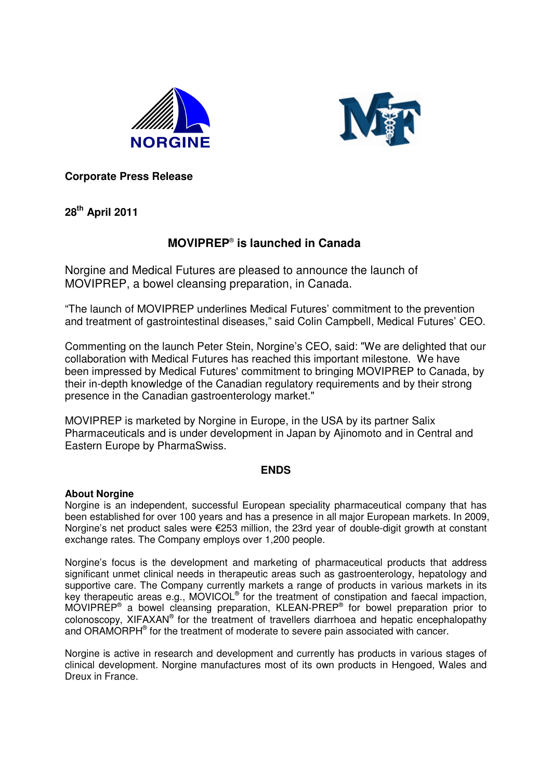



**Corporate Press Release**

**28 th April 2011**

# **MOVIPREP** ® **is launched in Canada**

Norgine and Medical Futures are pleased to announce the launch of MOVIPREP, a bowel cleansing preparation, in Canada.

"The launch of MOVIPREP underlines Medical Futures' commitment to the prevention and treatment of gastrointestinal diseases," said Colin Campbell, Medical Futures' CEO.

Commenting on the launch Peter Stein, Norgine's CEO, said: "We are delighted that our collaboration with Medical Futures has reached this important milestone. We have been impressed by Medical Futures'commitment to bringing MOVIPREP to Canada, by their in-depth knowledge of the Canadian regulatory requirements and by their strong presence in the Canadian gastroenterology market."

MOVIPREP is marketed by Norgine in Europe, in the USA by its partner Salix Pharmaceuticals and is under development in Japan by Ajinomoto and in Central and Eastern Europe by PharmaSwiss.

## **ENDS**

### **About Norgine**

Norgine is an independent, successful European speciality pharmaceutical company that has been established for over 100 years and has a presence in all major European markets. In 2009, Norgine's net product sales were 253 million, the 23rd year of double-digit growth at constant exchange rates. The Company employs over 1,200 people.

Norgine's focus is the development and marketing of pharmaceutical products that address significant unmet clinical needs in therapeutic areas such as gastroenterology, hepatology and supportive care. The Company currently markets a range of products in various markets in its key therapeutic areas e.g., MOVICOL<sup>®</sup> for the treatment of constipation and faecal impaction, MOVIPREP<sup>®</sup> a bowel cleansing preparation, KLEAN-PREP<sup>®</sup> for bowel preparation prior to colonoscopy, XIFAXAN® for the treatment of travellers diarrhoea and hepatic encephalopathy and ORAMORPH® for the treatment of moderate to severe pain associated with cancer.

Norgine is active in research and development and currently has products in various stages of clinical development. Norgine manufactures most of its own products in Hengoed, Wales and Dreux in France.